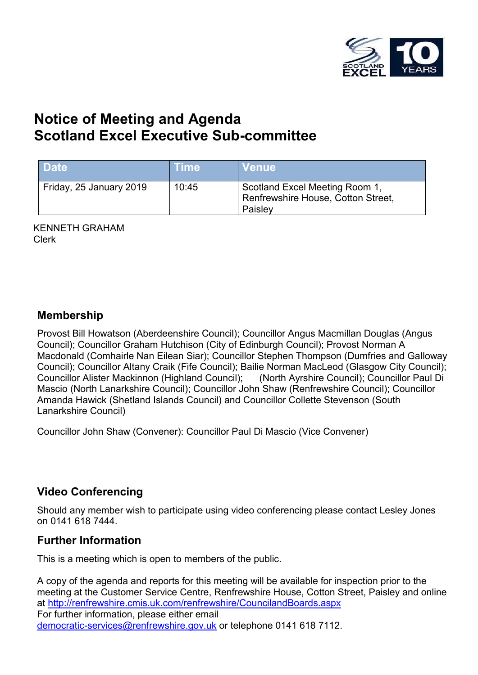

# **Notice of Meeting and Agenda Scotland Excel Executive Sub-committee**

| <b>Date</b>             | ⊦Time | <b>Venue</b>                                                                    |
|-------------------------|-------|---------------------------------------------------------------------------------|
| Friday, 25 January 2019 | 10:45 | Scotland Excel Meeting Room 1,<br>Renfrewshire House, Cotton Street,<br>Paisley |

KENNETH GRAHAM Clerk

#### **Membership**

Provost Bill Howatson (Aberdeenshire Council); Councillor Angus Macmillan Douglas (Angus Council); Councillor Graham Hutchison (City of Edinburgh Council); Provost Norman A Macdonald (Comhairle Nan Eilean Siar); Councillor Stephen Thompson (Dumfries and Galloway Council); Councillor Altany Craik (Fife Council); Bailie Norman MacLeod (Glasgow City Council); Councillor Alister Mackinnon (Highland Council); (North Ayrshire Council); Councillor Paul Di Mascio (North Lanarkshire Council); Councillor John Shaw (Renfrewshire Council); Councillor Amanda Hawick (Shetland Islands Council) and Councillor Collette Stevenson (South Lanarkshire Council)

Councillor John Shaw (Convener): Councillor Paul Di Mascio (Vice Convener)

### **Video Conferencing**

Should any member wish to participate using video conferencing please contact Lesley Jones on 0141 618 7444.

### **Further Information**

This is a meeting which is open to members of the public.

A copy of the agenda and reports for this meeting will be available for inspection prior to the meeting at the Customer Service Centre, Renfrewshire House, Cotton Street, Paisley and online at <http://renfrewshire.cmis.uk.com/renfrewshire/CouncilandBoards.aspx> For further information, please either email [democratic-services@renfrewshire.gov.uk](mailto:democratic-services@renfrewshire.gov.uk) or telephone 0141 618 7112.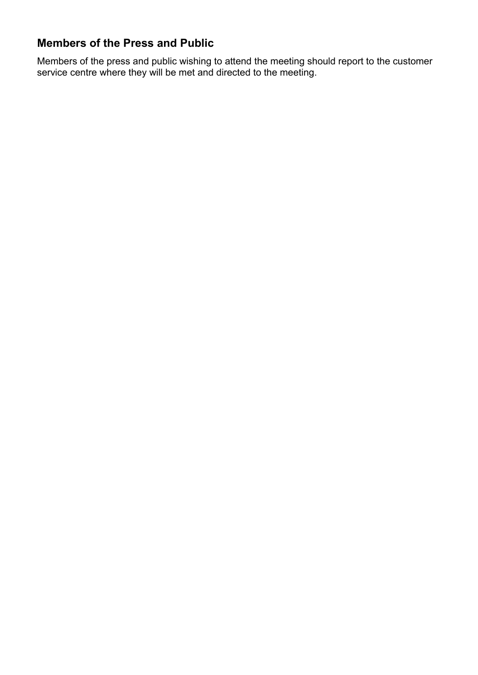## **Members of the Press and Public**

Members of the press and public wishing to attend the meeting should report to the customer service centre where they will be met and directed to the meeting.